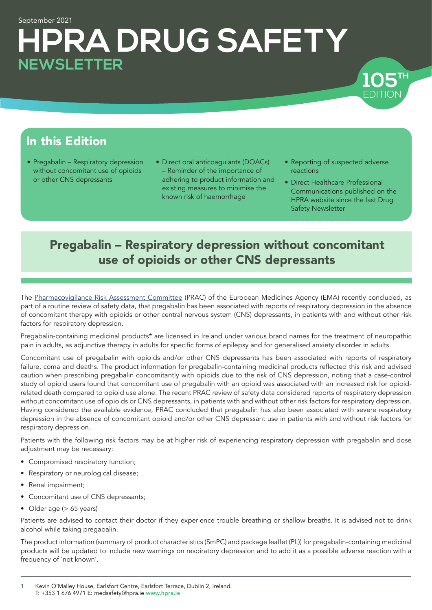# September 2021 **HPRA DRUG SAFETY NEWSLETTER**

# In this Edition

- Pregabalin Respiratory depression without concomitant use of opioids or other CNS depressants
- Direct oral anticoagulants (DOACs) – Reminder of the importance of adhering to product information and existing measures to minimise the known risk of haemorrhage
- Reporting of suspected adverse reactions

EDITION

EDITION **TH 105**

• Direct Healthcare Professional Communications published on the HPRA website since the last Drug Safety Newsletter

# Pregabalin – Respiratory depression without concomitant use of opioids or other CNS depressants

The [Pharmacovigilance Risk Assessment Committee](https://www.ema.europa.eu/en/committees/pharmacovigilance-risk-assessment-committee-prac) (PRAC) of the European Medicines Agency (EMA) recently concluded, as part of a routine review of safety data, that pregabalin has been associated with reports of respiratory depression in the absence of concomitant therapy with opioids or other central nervous system (CNS) depressants, in patients with and without other risk factors for respiratory depression.

Pregabalin-containing medicinal products\* are licensed in Ireland under various brand names for the treatment of neuropathic pain in adults, as adjunctive therapy in adults for specific forms of epilepsy and for generalised anxiety disorder in adults.

Concomitant use of pregabalin with opioids and/or other CNS depressants has been associated with reports of respiratory failure, coma and deaths. The product information for pregabalin-containing medicinal products reflected this risk and advised caution when prescribing pregabalin concomitantly with opioids due to the risk of CNS depression, noting that a case-control study of opioid users found that concomitant use of pregabalin with an opioid was associated with an increased risk for opioidrelated death compared to opioid use alone. The recent PRAC review of safety data considered reports of respiratory depression without concomitant use of opioids or CNS depressants, in patients with and without other risk factors for respiratory depression. Having considered the available evidence, PRAC concluded that pregabalin has also been associated with severe respiratory depression in the absence of concomitant opioid and/or other CNS depressant use in patients with and without risk factors for respiratory depression.

Patients with the following risk factors may be at higher risk of experiencing respiratory depression with pregabalin and dose adjustment may be necessary:

- Compromised respiratory function;
- Respiratory or neurological disease;
- Renal impairment;
- Concomitant use of CNS depressants;
- Older age (> 65 years)

Patients are advised to contact their doctor if they experience trouble breathing or shallow breaths. It is advised not to drink alcohol while taking pregabalin.

The product information (summary of product characteristics (SmPC) and package leaflet (PL)) for pregabalin-containing medicinal products will be updated to include new warnings on respiratory depression and to add it as a possible adverse reaction with a frequency of 'not known'.

1 Kevin O'Malley House, Earlsfort Centre, Earlsfort Terrace, Dublin 2, Ireland. T: +353 1 676 4971 E: medsafety@hpra.ie [www.hpra.ie](http://www.hpra.ie)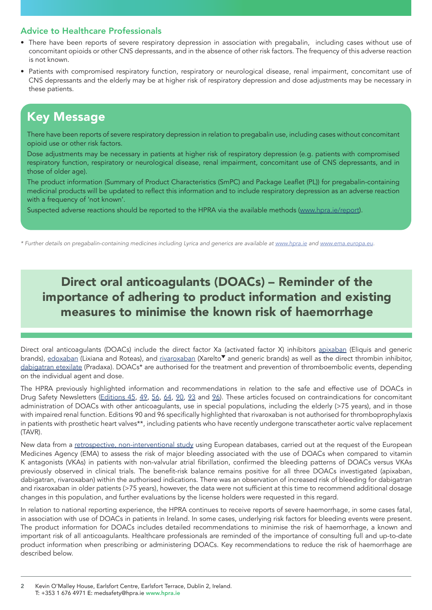### Advice to Healthcare Professionals

- There have been reports of severe respiratory depression in association with pregabalin, including cases without use of concomitant opioids or other CNS depressants, and in the absence of other risk factors. The frequency of this adverse reaction is not known.
- Patients with compromised respiratory function, respiratory or neurological disease, renal impairment, concomitant use of CNS depressants and the elderly may be at higher risk of respiratory depression and dose adjustments may be necessary in these patients.

## Key Message

There have been reports of severe respiratory depression in relation to pregabalin use, including cases without concomitant opioid use or other risk factors.

Dose adjustments may be necessary in patients at higher risk of respiratory depression (e.g. patients with compromised respiratory function, respiratory or neurological disease, renal impairment, concomitant use of CNS depressants, and in those of older age).

The product information (Summary of Product Characteristics (SmPC) and Package Leaflet (PL)) for pregabalin-containing medicinal products will be updated to reflect this information and to include respiratory depression as an adverse reaction with a frequency of 'not known'.

Suspected adverse reactions should be reported to the HPRA via the available methods ([www.hpra.ie/report](http://www.hpra.ie/report)).

*\* Further details on pregabalin-containing medicines including Lyrica and generics are available at [www.hpra.ie](http://www.hpra.ie) and [www.ema.europa.eu](http://www.ema.europa.eu).* 

# Direct oral anticoagulants (DOACs) – Reminder of the importance of adhering to product information and existing measures to minimise the known risk of haemorrhage

Direct oral anticoagulants (DOACs) include the direct factor Xa (activated factor X) inhibitors [apixaban](http://www.hpra.ie/homepage/medicines/medicines-information/find-a-medicine/results?query=Apixaban&field=ACTIVESUBSTANCES) (Eliquis and generic brands), [edoxaban](http://www.hpra.ie/homepage/medicines/medicines-information/find-a-medicine/results?query=Edoxaban+tosilate&field=ACTIVESUBSTANCES) (Lixiana and Roteas), and [rivaroxaban](http://www.hpra.ie/homepage/medicines/medicines-information/find-a-medicine/results?query=Rivaroxaban&field=ACTIVESUBSTANCES) (Xarelto<sup>v</sup> and generic brands) as well as the direct thrombin inhibitor, [dabigatran etexilate](http://www.hpra.ie/homepage/medicines/medicines-information/find-a-medicine/results?query=dabigatran&field=) (Pradaxa). DOACs\* are authorised for the treatment and prevention of thromboembolic events, depending on the individual agent and dose.

The HPRA previously highlighted information and recommendations in relation to the safe and effective use of DOACs in Drug Safety Newsletters [\(Editions 45](https://www.hpra.ie/docs/default-source/publications-forms/newsletters/drug-safety-newsletter-issue-no-45-november-2011.pdf?sfvrsn=2), [49](https://www.hpra.ie/docs/default-source/publications-forms/newsletters/drug-safety-newsletter-issue-no-49-august-2012.pdf?sfvrsn=2), [56,](https://www.hpra.ie/docs/default-source/publications-forms/newsletters/drug-safety-newsletter-issue-no-56-octomber-2013.pdf?sfvrsn=6) [64](http://www.hpra.ie/docs/default-source/publications-forms/newsletters/hpra-dsn-64th-edition.pdf?sfvrsn=11), [90,](https://www.hpra.ie/docs/default-source/publications-forms/newsletters/hpra-drug-safety-newsletter-edition-90.pdf?sfvrsn=5) [93](https://www.hpra.ie/docs/default-source/publications-forms/newsletters/hpra-drug-safety-newsletter-edition-93.pdf?sfvrsn=5) and [96](https://www.hpra.ie/docs/default-source/publications-forms/newsletters/hpra-drug-safety-newsletter-edition-96.pdf?sfvrsn=5)). These articles focused on contraindications for concomitant administration of DOACs with other anticoagulants, use in special populations, including the elderly (>75 years), and in those with impaired renal function. Editions 90 and 96 specifically highlighted that rivaroxaban is not authorised for thromboprophylaxis in patients with prosthetic heart valves\*\*, including patients who have recently undergone transcatheter aortic valve replacement (TAVR).

New data from a [retrospective, non-interventional study](https://www.ema.europa.eu/en/news/no-change-needed-use-direct-oral-anticoagulants-following-ema-funded-study) using European databases, carried out at the request of the European Medicines Agency (EMA) to assess the risk of major bleeding associated with the use of DOACs when compared to vitamin K antagonists (VKAs) in patients with non-valvular atrial fibrillation, confirmed the bleeding patterns of DOACs versus VKAs previously observed in clinical trials. The benefit-risk balance remains positive for all three DOACs investigated (apixaban, dabigatran, rivaroxaban) within the authorised indications. There was an observation of increased risk of bleeding for dabigatran and rixaroxaban in older patients (>75 years), however, the data were not sufficient at this time to recommend additional dosage changes in this population, and further evaluations by the license holders were requested in this regard.

In relation to national reporting experience, the HPRA continues to receive reports of severe haemorrhage, in some cases fatal, in association with use of DOACs in patients in Ireland. In some cases, underlying risk factors for bleeding events were present. The product information for DOACs includes detailed recommendations to minimise the risk of haemorrhage, a known and important risk of all anticoagulants. Healthcare professionals are reminded of the importance of consulting full and up-to-date product information when prescribing or administering DOACs. Key recommendations to reduce the risk of haemorrhage are described below.

2 Kevin O'Malley House, Earlsfort Centre, Earlsfort Terrace, Dublin 2, Ireland. T: +353 1 676 4971 E: medsafety@hpra.ie www.hpra.ie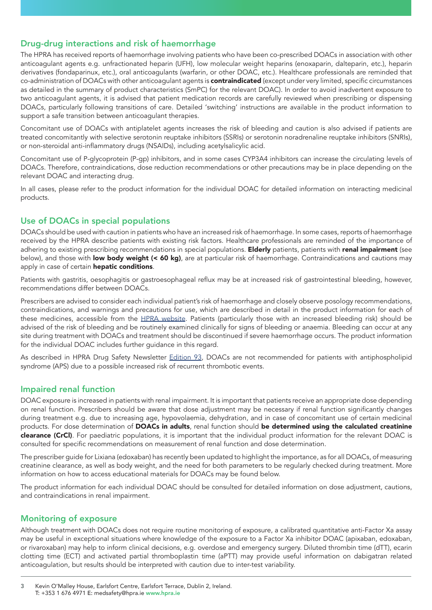### Drug-drug interactions and risk of haemorrhage

The HPRA has received reports of haemorrhage involving patients who have been co-prescribed DOACs in association with other anticoagulant agents e.g. unfractionated heparin (UFH), low molecular weight heparins (enoxaparin, dalteparin, etc.), heparin derivatives (fondaparinux, etc.), oral anticoagulants (warfarin, or other DOAC, etc.). Healthcare professionals are reminded that co-administration of DOACs with other anticoagulant agents is **contraindicated** (except under very limited, specific circumstances as detailed in the summary of product characteristics (SmPC) for the relevant DOAC). In order to avoid inadvertent exposure to two anticoagulant agents, it is advised that patient medication records are carefully reviewed when prescribing or dispensing DOACs, particularly following transitions of care. Detailed 'switching' instructions are available in the product information to support a safe transition between anticoagulant therapies.

Concomitant use of DOACs with antiplatelet agents increases the risk of bleeding and caution is also advised if patients are treated concomitantly with selective serotonin reuptake inhibitors (SSRIs) or serotonin noradrenaline reuptake inhibitors (SNRIs), or non-steroidal anti-inflammatory drugs (NSAIDs), including acetylsalicylic acid.

Concomitant use of P-glycoprotein (P-gp) inhibitors, and in some cases CYP3A4 inhibitors can increase the circulating levels of DOACs. Therefore, contraindications, dose reduction recommendations or other precautions may be in place depending on the relevant DOAC and interacting drug.

In all cases, please refer to the product information for the individual DOAC for detailed information on interacting medicinal products.

### Use of DOACs in special populations

DOACs should be used with caution in patients who have an increased risk of haemorrhage. In some cases, reports of haemorrhage received by the HPRA describe patients with existing risk factors. Healthcare professionals are reminded of the importance of adhering to existing prescribing recommendations in special populations. Elderly patients, patients with renal impairment (see below), and those with low body weight (< 60 kg), are at particular risk of haemorrhage. Contraindications and cautions may apply in case of certain **hepatic conditions**.

Patients with gastritis, oesophagitis or gastroesophageal reflux may be at increased risk of gastrointestinal bleeding, however, recommendations differ between DOACs.

Prescribers are advised to consider each individual patient's risk of haemorrhage and closely observe posology recommendations, contraindications, and warnings and precautions for use, which are described in detail in the product information for each of these medicines, accessible from the [HPRA website.](http://www.hpra.ie/homepage/medicines/medicines-information/find-a-medicine) Patients (particularly those with an increased bleeding risk) should be advised of the risk of bleeding and be routinely examined clinically for signs of bleeding or anaemia. Bleeding can occur at any site during treatment with DOACs and treatment should be discontinued if severe haemorrhage occurs. The product information for the individual DOAC includes further guidance in this regard.

As described in HPRA Drug Safety Newsletter [Edition 93,](https://www.hpra.ie/docs/default-source/publications-forms/newsletters/hpra-drug-safety-newsletter-edition-93.pdf?sfvrsn=5) DOACs are not recommended for patients with antiphospholipid syndrome (APS) due to a possible increased risk of recurrent thrombotic events.

#### Impaired renal function

DOAC exposure is increased in patients with renal impairment. It is important that patients receive an appropriate dose depending on renal function. Prescribers should be aware that dose adjustment may be necessary if renal function significantly changes during treatment e.g. due to increasing age, hypovolaemia, dehydration, and in case of concomitant use of certain medicinal products. For dose determination of DOACs in adults, renal function should be determined using the calculated creatinine clearance (CrCl). For paediatric populations, it is important that the individual product information for the relevant DOAC is consulted for specific recommendations on measurement of renal function and dose determination.

The prescriber guide for Lixiana (edoxaban) has recently been updated to highlight the importance, as for all DOACs, of measuring creatinine clearance, as well as body weight, and the need for both parameters to be regularly checked during treatment. More information on how to access educational materials for DOACs may be found below.

The product information for each individual DOAC should be consulted for detailed information on dose adjustment, cautions, and contraindications in renal impairment.

#### Monitoring of exposure

Although treatment with DOACs does not require routine monitoring of exposure, a calibrated quantitative anti-Factor Xa assay may be useful in exceptional situations where knowledge of the exposure to a Factor Xa inhibitor DOAC (apixaban, edoxaban, or rivaroxaban) may help to inform clinical decisions, e.g. overdose and emergency surgery. Diluted thrombin time (dTT), ecarin clotting time (ECT) and activated partial thromboplastin time (aPTT) may provide useful information on dabigatran related anticoagulation, but results should be interpreted with caution due to inter-test variability.

3 Kevin O'Malley House, Earlsfort Centre, Earlsfort Terrace, Dublin 2, Ireland. T: +353 1 676 4971 E: medsafety@hpra.ie www.hpra.ie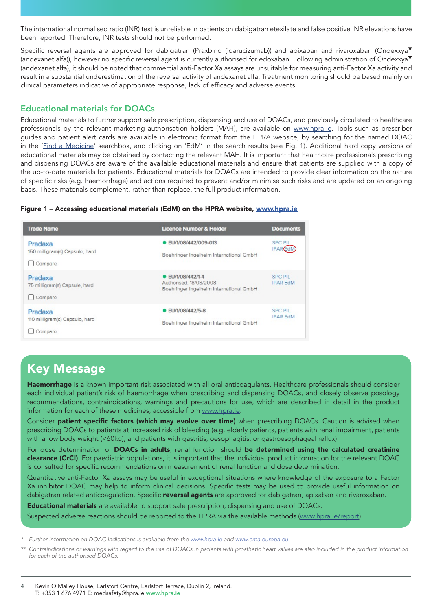The international normalised ratio (INR) test is unreliable in patients on dabigatran etexilate and false positive INR elevations have been reported. Therefore, INR tests should not be performed.

Specific reversal agents are approved for dabigatran (Praxbind (idarucizumab)) and apixaban and rivaroxaban (Ondexxya<sup>v</sup> (andexanet alfa)), however no specific reversal agent is currently authorised for edoxaban. Following administration of Ondexxya (andexanet alfa), it should be noted that commercial anti-Factor Xa assays are unsuitable for measuring anti-Factor Xa activity and result in a substantial underestimation of the reversal activity of andexanet alfa. Treatment monitoring should be based mainly on clinical parameters indicative of appropriate response, lack of efficacy and adverse events.

### Educational materials for DOACs

Educational materials to further support safe prescription, dispensing and use of DOACs, and previously circulated to healthcare professionals by the relevant marketing authorisation holders (MAH), are available on [www.hpra.ie.](http://www.hpra.ie) Tools such as prescriber guides and patient alert cards are available in electronic format from the HPRA website, by searching for the named DOAC in the '*Find a Medicine'* searchbox, and clicking on 'EdM' in the search results (see Fig. 1). Additional hard copy versions of educational materials may be obtained by contacting the relevant MAH. It is important that healthcare professionals prescribing and dispensing DOACs are aware of the available educational materials and ensure that patients are supplied with a copy of the up-to-date materials for patients. Educational materials for DOACs are intended to provide clear information on the nature of specific risks (e.g. haemorrhage) and actions required to prevent and/or minimise such risks and are updated on an ongoing basis. These materials complement, rather than replace, the full product information.

#### Figure 1 - Accessing educational materials (EdM) on the HPRA website, [www.hpra.ie](http://www.hpra.ie)



# Key Message

Haemorrhage is a known important risk associated with all oral anticoagulants. Healthcare professionals should consider each individual patient's risk of haemorrhage when prescribing and dispensing DOACs, and closely observe posology recommendations, contraindications, warnings and precautions for use, which are described in detail in the product information for each of these medicines, accessible from [www.hpra.ie.](http://www.hpra.ie)

Consider patient specific factors (which may evolve over time) when prescribing DOACs. Caution is advised when prescribing DOACs to patients at increased risk of bleeding (e.g. elderly patients, patients with renal impairment, patients with a low body weight (<60kg), and patients with gastritis, oesophagitis, or gastroesophageal reflux).

For dose determination of **DOACs in adults**, renal function should be determined using the calculated creatinine clearance (CrCl). For paediatric populations, it is important that the individual product information for the relevant DOAC is consulted for specific recommendations on measurement of renal function and dose determination.

Quantitative anti-Factor Xa assays may be useful in exceptional situations where knowledge of the exposure to a Factor Xa inhibitor DOAC may help to inform clinical decisions. Specific tests may be used to provide useful information on dabigatran related anticoagulation. Specific reversal agents are approved for dabigatran, apixaban and rivaroxaban.

**Educational materials** are available to support safe prescription, dispensing and use of DOACs.

Suspected adverse reactions should be reported to the HPRA via the available methods ([www.hpra.ie/report](http://www.hpra.ie/report)).

*\* Further information on DOAC indications is available from the [www.hpra.ie](http://www.hpra.ie) and [www.ema.europa.eu](http://www.ema.europa.eu).* 

*\*\* Contraindications or warnings with regard to the use of DOACs in patients with prosthetic heart valves are also included in the product information for each of the authorised DOACs.*